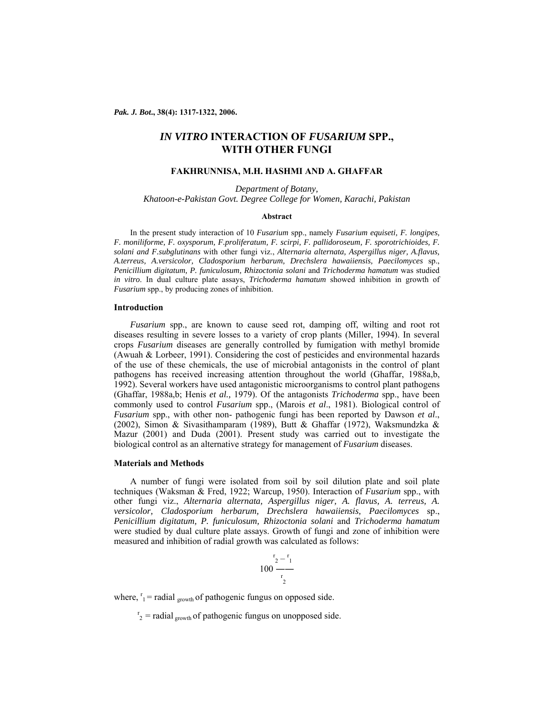*Pak. J. Bot***., 38(4): 1317-1322, 2006.** 

# *IN VITRO* **INTERACTION OF** *FUSARIUM* **SPP., WITH OTHER FUNGI**

# **FAKHRUNNISA, M.H. HASHMI AND A. GHAFFAR**

*Department of Botany, Khatoon-e-Pakistan Govt. Degree College for Women, Karachi, Pakistan* 

#### **Abstract**

In the present study interaction of 10 *Fusarium* spp., namely *Fusarium equiseti, F. longipes, F. moniliforme, F. oxysporum, F.proliferatum, F. scirpi, F. pallidoroseum, F. sporotrichioides, F. solani and F.subglutinans* with other fungi viz., *Alternaria alternata, Aspergillus niger, A.flavus, A.terreus, A.versicolor, Cladosporium herbarum, Drechslera hawaiiensis, Paecilomyces* sp., *Penicillium digitatum, P. funiculosum, Rhizoctonia solani* and *Trichoderma hamatum* was studied *in vitro*. In dual culture plate assays, *Trichoderma hamatum* showed inhibition in growth of *Fusarium* spp., by producing zones of inhibition.

## **Introduction**

*Fusarium* spp., are known to cause seed rot, damping off, wilting and root rot diseases resulting in severe losses to a variety of crop plants (Miller, 1994). In several crops *Fusarium* diseases are generally controlled by fumigation with methyl bromide (Awuah & Lorbeer, 1991). Considering the cost of pesticides and environmental hazards of the use of these chemicals, the use of microbial antagonists in the control of plant pathogens has received increasing attention throughout the world (Ghaffar, 1988a,b, 1992). Several workers have used antagonistic microorganisms to control plant pathogens (Ghaffar, 1988a,b; Henis *et al.,* 1979). Of the antagonists *Trichoderma* spp., have been commonly used to control *Fusarium* spp., (Marois *et al*., 1981). Biological control of *Fusarium* spp., with other non- pathogenic fungi has been reported by Dawson *et al*., (2002), Simon & Sivasithamparam (1989), Butt & Ghaffar (1972), Waksmundzka & Mazur (2001) and Duda (2001). Present study was carried out to investigate the biological control as an alternative strategy for management of *Fusarium* diseases.

### **Materials and Methods**

A number of fungi were isolated from soil by soil dilution plate and soil plate techniques (Waksman & Fred, 1922; Warcup, 1950). Interaction of *Fusarium* spp., with other fungi viz., *Alternaria alternata, Aspergillus niger, A. flavus, A. terreus, A. versicolor, Cladosporium herbarum, Drechslera hawaiiensis, Paecilomyces* sp., *Penicillium digitatum, P. funiculosum, Rhizoctonia solani* and *Trichoderma hamatum* were studied by dual culture plate assays. Growth of fungi and zone of inhibition were measured and inhibition of radial growth was calculated as follows:

$$
100\frac{\frac{r_2-r_1}{r_2}}{r_2}
$$

where,  $r_1$  = radial <sub>growth</sub> of pathogenic fungus on opposed side.

 $r_2$  = radial <sub>growth</sub> of pathogenic fungus on unopposed side.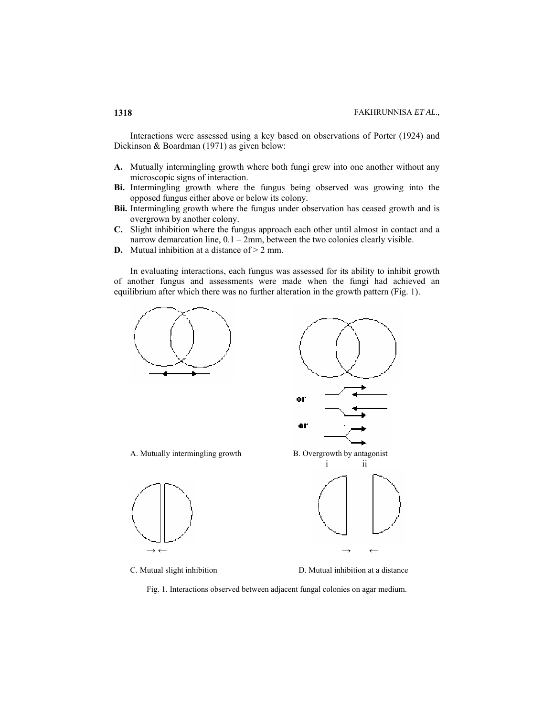Interactions were assessed using a key based on observations of Porter (1924) and Dickinson & Boardman (1971) as given below:

- **A.** Mutually intermingling growth where both fungi grew into one another without any microscopic signs of interaction.
- **Bi.** Intermingling growth where the fungus being observed was growing into the opposed fungus either above or below its colony.
- **Bii.** Intermingling growth where the fungus under observation has ceased growth and is overgrown by another colony.
- **C.** Slight inhibition where the fungus approach each other until almost in contact and a narrow demarcation line, 0.1 – 2mm, between the two colonies clearly visible.
- **D.** Mutual inhibition at a distance of  $> 2$  mm.

In evaluating interactions, each fungus was assessed for its ability to inhibit growth of another fungus and assessments were made when the fungi had achieved an equilibrium after which there was no further alteration in the growth pattern (Fig. 1).



C. Mutual slight inhibition D. Mutual inhibition at a distance

Fig. 1. Interactions observed between adjacent fungal colonies on agar medium.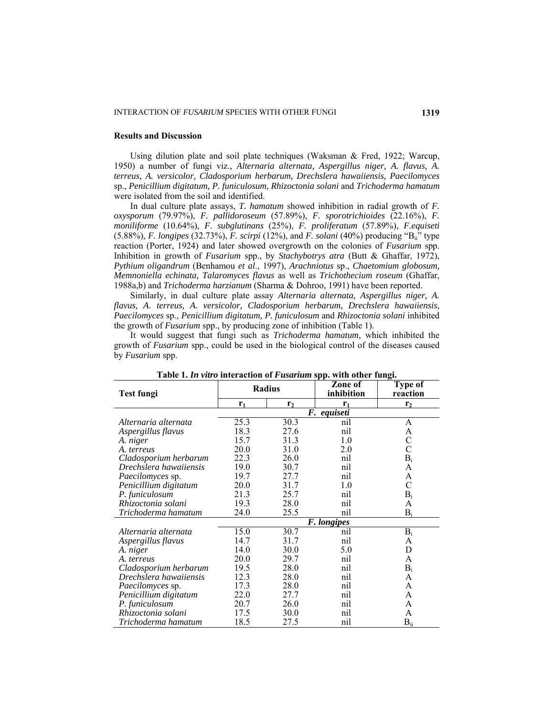### **Results and Discussion**

Using dilution plate and soil plate techniques (Waksman & Fred, 1922; Warcup, 1950) a number of fungi viz., *Alternaria alternata, Aspergillus niger, A. flavus, A. terreus, A. versicolor, Cladosporium herbarum, Drechslera hawaiiensis, Paecilomyces* sp., *Penicillium digitatum, P. funiculosum, Rhizoctonia solani* and *Trichoderma hamatum* were isolated from the soil and identified.

In dual culture plate assays, *T. hamatum* showed inhibition in radial growth of *F. oxysporum* (79.97%), *F. pallidoroseum* (57.89%), *F. sporotrichioides* (22.16%), *F. moniliforme* (10.64%), *F. subglutinans* (25%), *F. proliferatum* (57.89%), *F.equiseti* (5.88%), *F. longipes* (32.73%), *F. scirpi* (12%), and *F. solani* (40%) producing "Bii" type reaction (Porter, 1924) and later showed overgrowth on the colonies of *Fusarium* spp. Inhibition in growth of *Fusarium* spp., by *Stachybotrys atra* (Butt & Ghaffar, 1972), *Pythium oligandrum* (Benhamou *et al*., 1997), *Arachniotus* sp., *Chaetomium globosum, Memnoniella echinata, Talaromyces flavus* as well as *Trichothecium roseum* (Ghaffar, 1988a,b) and *Trichoderma harzianum* (Sharma & Dohroo, 1991) have been reported.

Similarly, in dual culture plate assay *Alternaria alternata, Aspergillus niger, A. flavus, A. terreus, A. versicolor, Cladosporium herbarum, Drechslera hawaiiensis, Paecilomyces* sp., *Penicillium digitatum, P. funiculosum* and *Rhizoctonia solani* inhibited the growth of *Fusarium* spp., by producing zone of inhibition (Table 1).

It would suggest that fungi such as *Trichoderma hamatum*, which inhibited the growth of *Fusarium* spp., could be used in the biological control of the diseases caused by *Fusarium* spp.

| Test fungi              | Radius      |                | Zone of<br>inhibition | Type of<br>reaction |  |  |  |
|-------------------------|-------------|----------------|-----------------------|---------------------|--|--|--|
|                         | $r_1$       | r <sub>2</sub> | $r_1$                 | r <sub>2</sub>      |  |  |  |
|                         | F. equiseti |                |                       |                     |  |  |  |
| Alternaria alternata    | 25.3        | 30.3           | nil                   | A                   |  |  |  |
| Aspergillus flavus      | 18.3        | 27.6           | nil                   | A                   |  |  |  |
| A. niger                | 15.7        | 31.3           | 1.0                   | $\mathcal{C}$       |  |  |  |
| A. terreus              | 20.0        | 31.0           | 2.0                   | $\overline{C}$      |  |  |  |
| Cladosporium herbarum   | 22.3        | 26.0           | nil                   | $B_i$               |  |  |  |
| Drechslera hawaiiensis  | 19.0        | 30.7           | nil                   | A                   |  |  |  |
| <i>Paecilomyces sp.</i> | 19.7        | 27.7           | nil                   | A                   |  |  |  |
| Penicillium digitatum   | 20.0        | 31.7           | 1.0                   | $\mathcal{C}$       |  |  |  |
| P. funiculosum          | 21.3        | 25.7           | nil                   | $B_i$               |  |  |  |
| Rhizoctonia solani      | 19.3        | 28.0           | nil                   | A                   |  |  |  |
| Trichoderma hamatum     | 24.0        | 25.5           | nil                   | $B_i$               |  |  |  |
|                         | F. longipes |                |                       |                     |  |  |  |
| Alternaria alternata    | 15.0        | 30.7           | nil                   | $B_i$               |  |  |  |
| Aspergillus flavus      | 14.7        | 31.7           | nil                   | A                   |  |  |  |
| A. niger                | 14.0        | 30.0           | 5.0                   | D                   |  |  |  |
| A. terreus              | 20.0        | 29.7           | nil                   | A                   |  |  |  |
| Cladosporium herbarum   | 19.5        | 28.0           | nil                   | $B_i$               |  |  |  |
| Drechslera hawaiiensis  | 12.3        | 28.0           | nil                   | A                   |  |  |  |
| Paecilomyces sp.        | 17.3        | 28.0           | nil                   | A                   |  |  |  |
| Penicillium digitatum   | 22.0        | 27.7           | nil                   | A                   |  |  |  |
| P. funiculosum          | 20.7        | 26.0           | nil                   | A                   |  |  |  |
| Rhizoctonia solani      | 17.5        | 30.0           | nil                   | A                   |  |  |  |
| Trichoderma hamatum     | 18.5        | 27.5           | nil                   | $B_{ii}$            |  |  |  |

**Table 1.** *In vitro* **interaction of** *Fusarium* **spp. with other fungi.**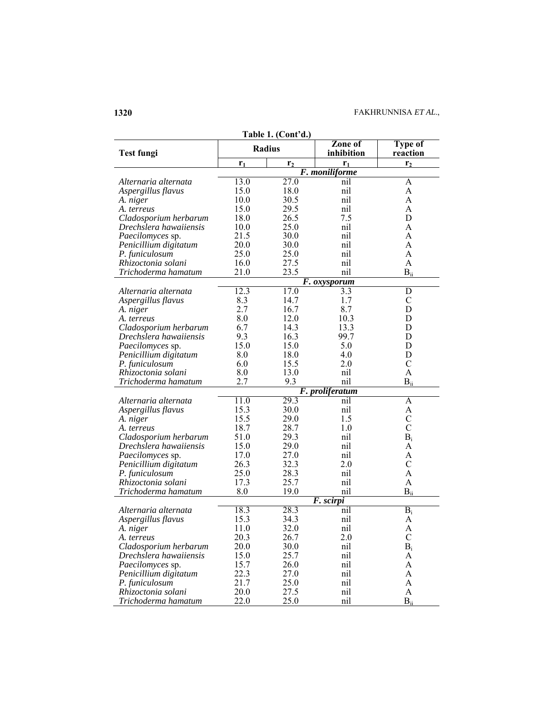| Table 1. (Cont'd.)     |                |                |                       |                            |  |  |
|------------------------|----------------|----------------|-----------------------|----------------------------|--|--|
| <b>Test fungi</b>      | Radius         |                | Zone of<br>inhibition | <b>Type of</b><br>reaction |  |  |
|                        | r <sub>1</sub> | r <sub>2</sub> | r <sub>1</sub>        | r <sub>2</sub>             |  |  |
|                        |                |                | F. moniliforme        |                            |  |  |
| Alternaria alternata   | 13.0           | 27.0           | nil                   | A                          |  |  |
| Aspergillus flavus     | 15.0           | 18.0           | nil                   | A                          |  |  |
| A. niger               | 10.0           | 30.5           | nil                   | A                          |  |  |
| A. terreus             | 15.0           | 29.5           | nil                   | A                          |  |  |
| Cladosporium herbarum  | 18.0           | 26.5           | 7.5                   | D                          |  |  |
| Drechslera hawaiiensis | 10.0           | 25.0           | nil                   | A                          |  |  |
| Paecilomyces sp.       | 21.5           | 30.0           | nil                   | A                          |  |  |
| Penicillium digitatum  | 20.0           | 30.0           | nil                   | A                          |  |  |
| P. funiculosum         | 25.0           | 25.0           | nil                   | A                          |  |  |
| Rhizoctonia solani     | 16.0           | 27.5           | nil                   | A                          |  |  |
| Trichoderma hamatum    | 21.0           | 23.5           | nil                   | $B_{ii}$                   |  |  |
|                        |                |                | F. oxysporum          |                            |  |  |
| Alternaria alternata   | 12.3           | 17.0           | $\overline{3.3}$      | $\overline{D}$             |  |  |
| Aspergillus flavus     | 8.3            | 14.7           | 1.7                   | $\mathsf{C}$               |  |  |
| A. niger               | 2.7            | 16.7           | 8.7                   | D                          |  |  |
| A. terreus             | 8.0            | 12.0           | 10.3                  | D                          |  |  |
| Cladosporium herbarum  | 6.7            | 14.3           | 13.3                  | D                          |  |  |
| Drechslera hawaiiensis | 9.3            | 16.3           | 99.7                  | D                          |  |  |
|                        | 15.0           | 15.0           | 5.0                   | D                          |  |  |
| Paecilomyces sp.       |                |                |                       | D                          |  |  |
| Penicillium digitatum  | 8.0            | 18.0           | 4.0                   |                            |  |  |
| P. funiculosum         | 6.0            | 15.5           | 2.0                   | $\mathcal{C}$              |  |  |
| Rhizoctonia solani     | 8.0            | 13.0           | nil                   | $\mathbf{A}$               |  |  |
| Trichoderma hamatum    | 2.7            | 9.3            | nil                   | $B_{ii}$                   |  |  |
|                        |                | 29.3           | F. proliferatum       |                            |  |  |
| Alternaria alternata   | 11.0           |                | nil                   | $\overline{A}$             |  |  |
| Aspergillus flavus     | 15.3           | 30.0           | nil                   | A                          |  |  |
| A. niger               | 15.5           | 29.0           | 1.5                   | $\mathcal{C}$              |  |  |
| A. terreus             | 18.7           | 28.7           | 1.0                   | $\overline{C}$             |  |  |
| Cladosporium herbarum  | 51.0           | 29.3           | nil                   | $B_i$                      |  |  |
| Drechslera hawaiiensis | 15.0           | 29.0           | nil                   | A                          |  |  |
| Paecilomyces sp.       | 17.0           | 27.0           | nil                   | A                          |  |  |
| Penicillium digitatum  | 26.3           | 32.3           | 2.0                   | $\mathcal{C}$              |  |  |
| P. funiculosum         | 25.0           | 28.3           | nil                   | A                          |  |  |
| Rhizoctonia solani     | 17.3           | 25.7           | nil                   | A                          |  |  |
| Trichoderma hamatum    | 8.0            | 19.0           | nil                   | $B_{ii}$                   |  |  |
|                        |                |                | F. scirpi             |                            |  |  |
| Alternaria alternata   | 18.3           | 28.3           | nil                   | $B_i$                      |  |  |
| Aspergillus flavus     | 15.3           | 34.3           | nil                   | A                          |  |  |
| A. niger               | 11.0           | 32.0           | nil                   | A                          |  |  |
| A. terreus             | 20.3           | 26.7           | 2.0                   | $\mathcal{C}$              |  |  |
| Cladosporium herbarum  | 20.0           | 30.0           | nil                   | $B_i$                      |  |  |
| Drechslera hawaiiensis | 15.0           | 25.7           | nil                   | A                          |  |  |
| Paecilomyces sp.       | 15.7           | 26.0           | nil                   | A                          |  |  |
| Penicillium digitatum  | 22.3           | 27.0           | nil                   | A                          |  |  |
| P. funiculosum         | 21.7           | 25.0           | nil                   | A                          |  |  |
|                        |                |                |                       |                            |  |  |
| Rhizoctonia solani     | 20.0           | 27.5           | nil                   | A                          |  |  |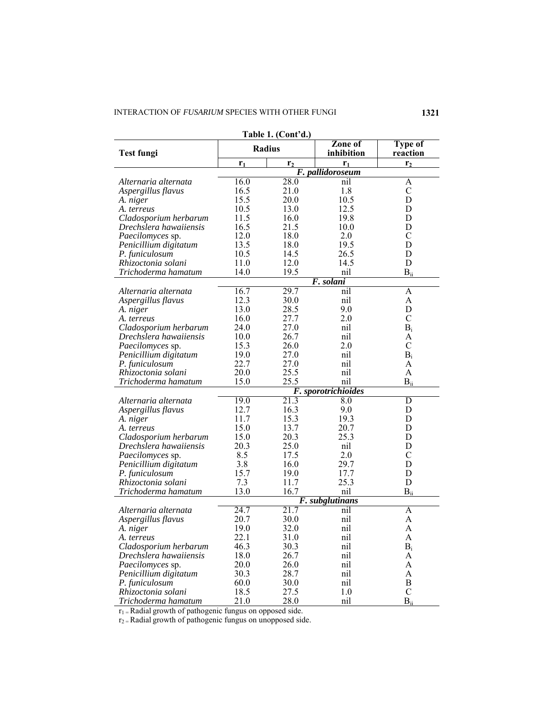| Table 1. (Cont'd.)     |                     |                |                       |                            |  |  |  |  |  |
|------------------------|---------------------|----------------|-----------------------|----------------------------|--|--|--|--|--|
| <b>Test fungi</b>      | <b>Radius</b>       |                | Zone of<br>inhibition | <b>Type of</b><br>reaction |  |  |  |  |  |
|                        | $r_1$               | r <sub>2</sub> | $r_1$                 | r <sub>2</sub>             |  |  |  |  |  |
|                        | F. pallidoroseum    |                |                       |                            |  |  |  |  |  |
| Alternaria alternata   | 16.0                | 28.0           | nil                   | A                          |  |  |  |  |  |
| Aspergillus flavus     | 16.5                | 21.0           | 1.8                   | $\mathcal{C}$              |  |  |  |  |  |
| A. niger               | 15.5                | 20.0           | 10.5                  | D                          |  |  |  |  |  |
| A. terreus             | 10.5                | 13.0           | 12.5                  | D                          |  |  |  |  |  |
| Cladosporium herbarum  | 11.5                | 16.0           | 19.8                  | D                          |  |  |  |  |  |
| Drechslera hawaiiensis | 16.5                | 21.5           | 10.0                  | D                          |  |  |  |  |  |
| Paecilomyces sp.       | 12.0                | 18.0           | 2.0                   | $\mathsf{C}$               |  |  |  |  |  |
| Penicillium digitatum  | 13.5                | 18.0           | 19.5                  | D                          |  |  |  |  |  |
| P. funiculosum         | 10.5                | 14.5           | 26.5                  | D                          |  |  |  |  |  |
| Rhizoctonia solani     | 11.0                | 12.0           | 14.5                  | D                          |  |  |  |  |  |
| Trichoderma hamatum    | 14.0                | 19.5           | nil                   | $B_{ii}$                   |  |  |  |  |  |
|                        | F. solani           |                |                       |                            |  |  |  |  |  |
| Alternaria alternata   | 16.7                | 29.7           | nil                   | $\overline{A}$             |  |  |  |  |  |
| Aspergillus flavus     | 12.3                | 30.0           | nil                   | A                          |  |  |  |  |  |
| A. niger               | 13.0                | 28.5           | 9.0                   | D                          |  |  |  |  |  |
| A. terreus             | 16.0                | 27.7           | 2.0                   | $\mathcal{C}$              |  |  |  |  |  |
| Cladosporium herbarum  | 24.0                | 27.0           | nil                   | $B_i$                      |  |  |  |  |  |
| Drechslera hawaiiensis | 10.0                | 26.7           | nil                   | A                          |  |  |  |  |  |
| Paecilomyces sp.       | 15.3                | 26.0           | 2.0                   | $\mathcal{C}$              |  |  |  |  |  |
| Penicillium digitatum  | 19.0                | 27.0           | nil                   | $B_i$                      |  |  |  |  |  |
| P. funiculosum         | 22.7                | 27.0           | nil                   | A                          |  |  |  |  |  |
| Rhizoctonia solani     | 20.0                | 25.5           | nil                   | $\mathbf{A}$               |  |  |  |  |  |
| Trichoderma hamatum    | 15.0                | 25.5           | nil                   | $B_{ii}$                   |  |  |  |  |  |
|                        | F. sporotrichioides |                |                       |                            |  |  |  |  |  |
| Alternaria alternata   | 19.0                | 21.3           | 8.0                   | D                          |  |  |  |  |  |
| Aspergillus flavus     | 12.7                | 16.3           | 9.0                   | D                          |  |  |  |  |  |
| A. niger               | 11.7                | 15.3           | 19.3                  | D                          |  |  |  |  |  |
| A. terreus             | 15.0                | 13.7           | 20.7                  | D                          |  |  |  |  |  |
| Cladosporium herbarum  | 15.0                | 20.3           | 25.3                  | D                          |  |  |  |  |  |
| Drechslera hawaiiensis | 20.3                | 25.0           | nil                   | D                          |  |  |  |  |  |
| Paecilomyces sp.       | 8.5                 | 17.5           | 2.0                   | $\mathsf{C}$               |  |  |  |  |  |
| Penicillium digitatum  | 3.8                 | 16.0           | 29.7                  | D                          |  |  |  |  |  |
| P. funiculosum         | 15.7                | 19.0           | 17.7                  | D                          |  |  |  |  |  |
| Rhizoctonia solani     | 7.3                 | 11.7           | 25.3                  | D                          |  |  |  |  |  |
| Trichoderma hamatum    | 13.0                | 16.7           | nil                   | $B_{ii}$                   |  |  |  |  |  |
|                        | F. subglutinans     |                |                       |                            |  |  |  |  |  |
| Alternaria alternata   | 24.7                | 21.7           | nil                   | A                          |  |  |  |  |  |
| Aspergillus flavus     | 20.7                | 30.0           | nil                   | A                          |  |  |  |  |  |
| A. niger               | 19.0                | 32.0           | nil                   | A                          |  |  |  |  |  |
| A. terreus             | 22.1                | 31.0           | nil                   | $\boldsymbol{\rm{A}}$      |  |  |  |  |  |
| Cladosporium herbarum  | 46.3                | 30.3           | nil                   | $B_i$                      |  |  |  |  |  |
| Drechslera hawaiiensis | 18.0                | 26.7           | nil                   | A                          |  |  |  |  |  |
| Paecilomyces sp.       | 20.0                | 26.0           | nil                   | A                          |  |  |  |  |  |
| Penicillium digitatum  | 30.3                | 28.7           | nil                   | A                          |  |  |  |  |  |
| P. funiculosum         | 60.0                | 30.0           | nil                   | $\bf{B}$                   |  |  |  |  |  |
| Rhizoctonia solani     | 18.5                | 27.5           | 1.0                   | $\mathcal{C}$              |  |  |  |  |  |
| Trichoderma hamatum    | 21.0                | 28.0           | nil                   | $B_{ii}$                   |  |  |  |  |  |

 $r_1$  = Radial growth of pathogenic fungus on opposed side.

 $r_2$  = Radial growth of pathogenic fungus on unopposed side.